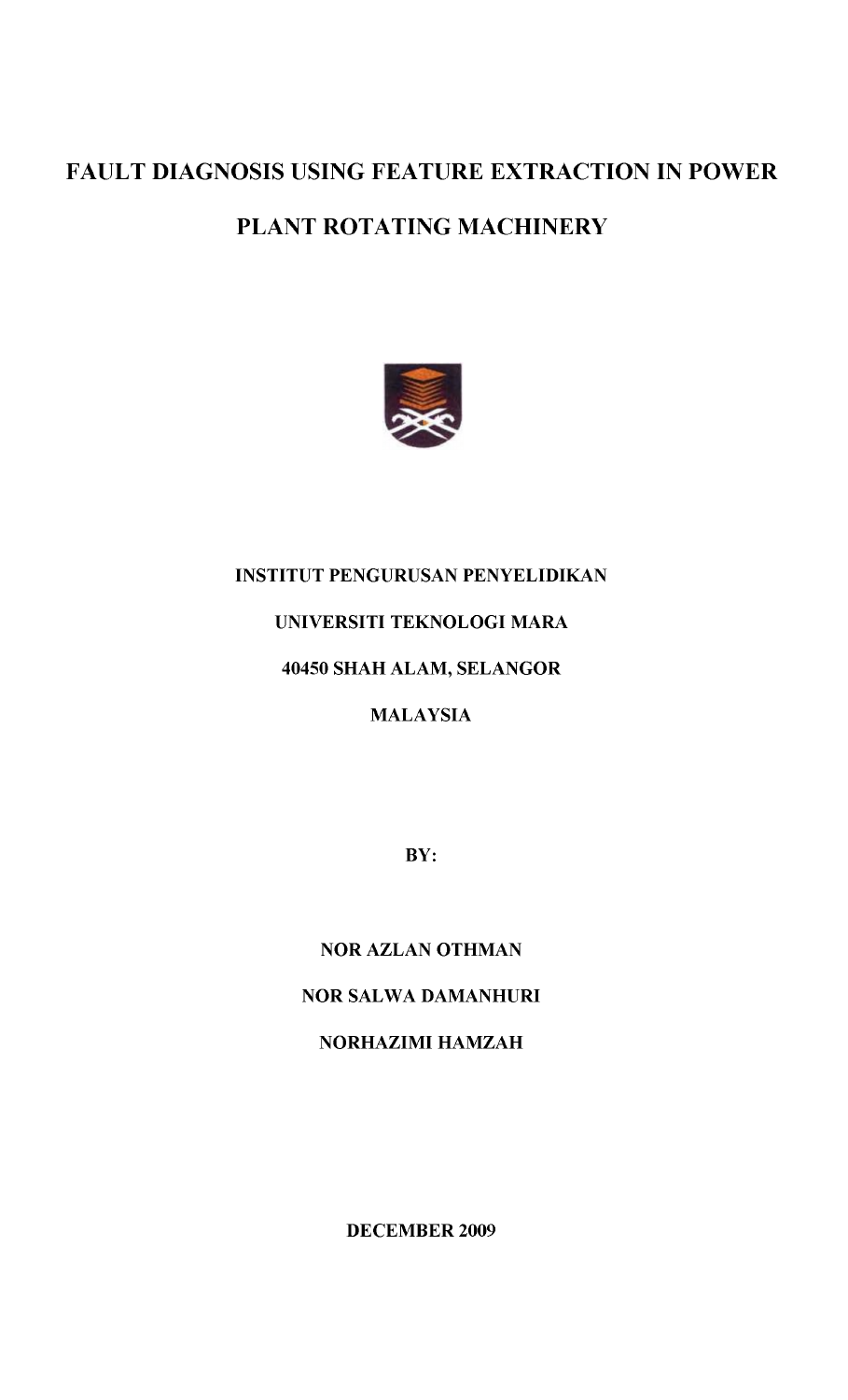# **FAULT DIAGNOSIS USING FEATURE EXTRACTION IN POWER**

## **PLANT ROTATING MACHINERY**



#### **INSTITUT PENGURUSAN PENYELIDIKAN**

#### **UNIVERSITI TEKNOLOGI MARA**

#### **40450 SHAH ALAM, SELANGOR**

### **MALAYSIA**

**BY:**

#### **NOR AZLAN OTHMAN**

#### **NOR SALWA DAMANHURI**

**NORHAZIMI HAMZAH**

**DECEMBER 2009**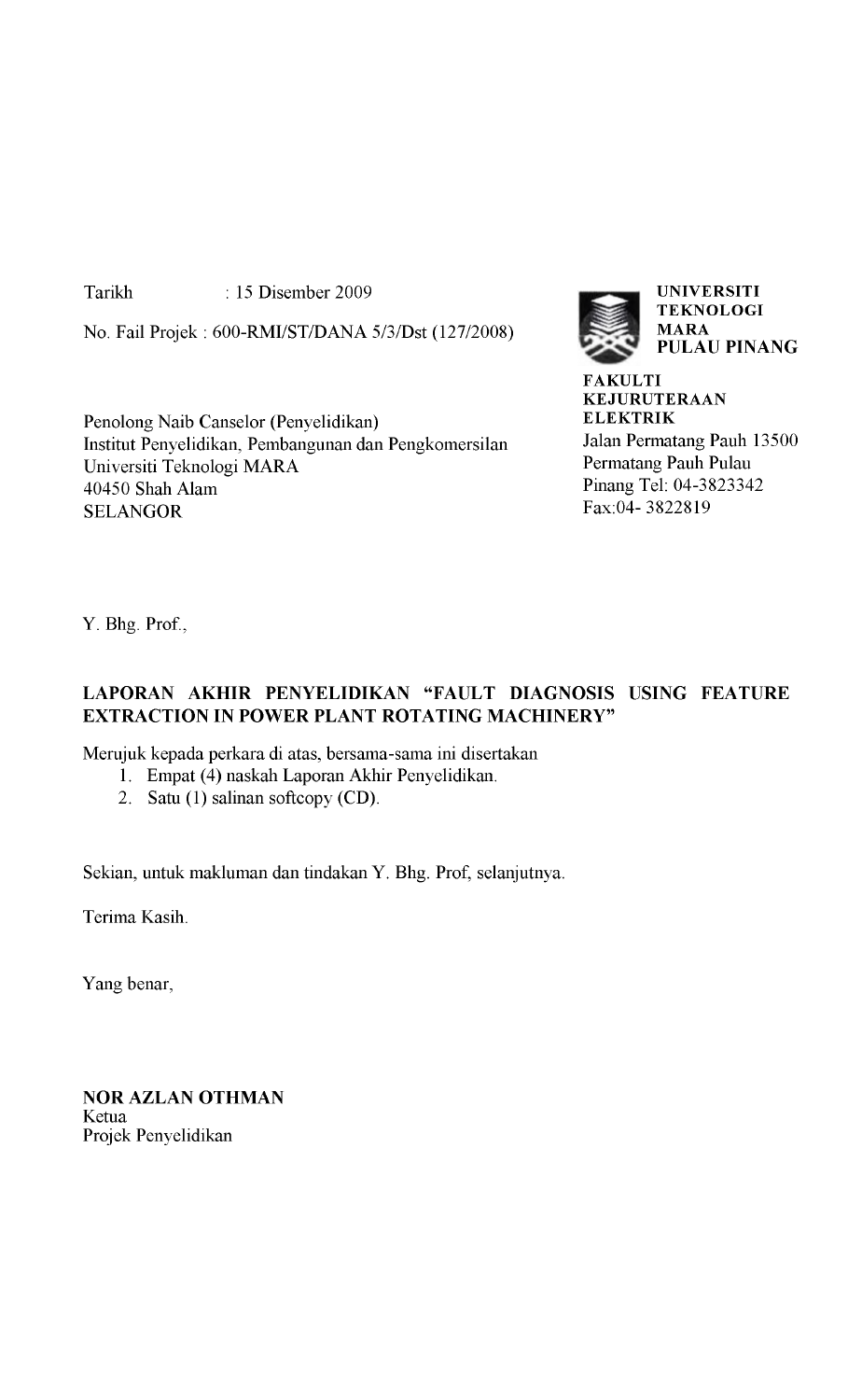Tarikh : 15 Disember 2009

No. Fail Projek : 600-RMI/ST/DANA 5/3/Dst (127/2008)

Penolong Naib Canselor (Penyelidikan) Institut Penyelidikan, Pembangunan dan Pengkomersilan Universiti Teknologi MARA 40450 Shah Alam **SELANGOR** 



**FAKULTI KEJURUTERAAN ELEKTRIK** Jalan Permatang Pauh 13500 Permatang Pauh Pulau Pinang Tel: 04-3823342 Fax:04- 3822819

Y. Bhg. Prof.,

#### **LAPORAN AKHIR PENYELIDIKAN "FAULT DIAGNOSIS USING FEATURE EXTRACTION IN POWER PLANT ROTATING MACHINERY"**

Merujuk kepada perkara di atas, bersama-sama ini disertakan

- 1. Empat (4) naskah Laporan Akhir Penyelidikan.
- 2. Satu (1) salinan softcopy (CD).

Sekian, untuk makluman dan tindakan Y. Bhg. Prof, selanjutnya.

Terima Kasih.

Yang benar,

**NOR AZLAN OTHMAN** Ketua Projek Penyelidikan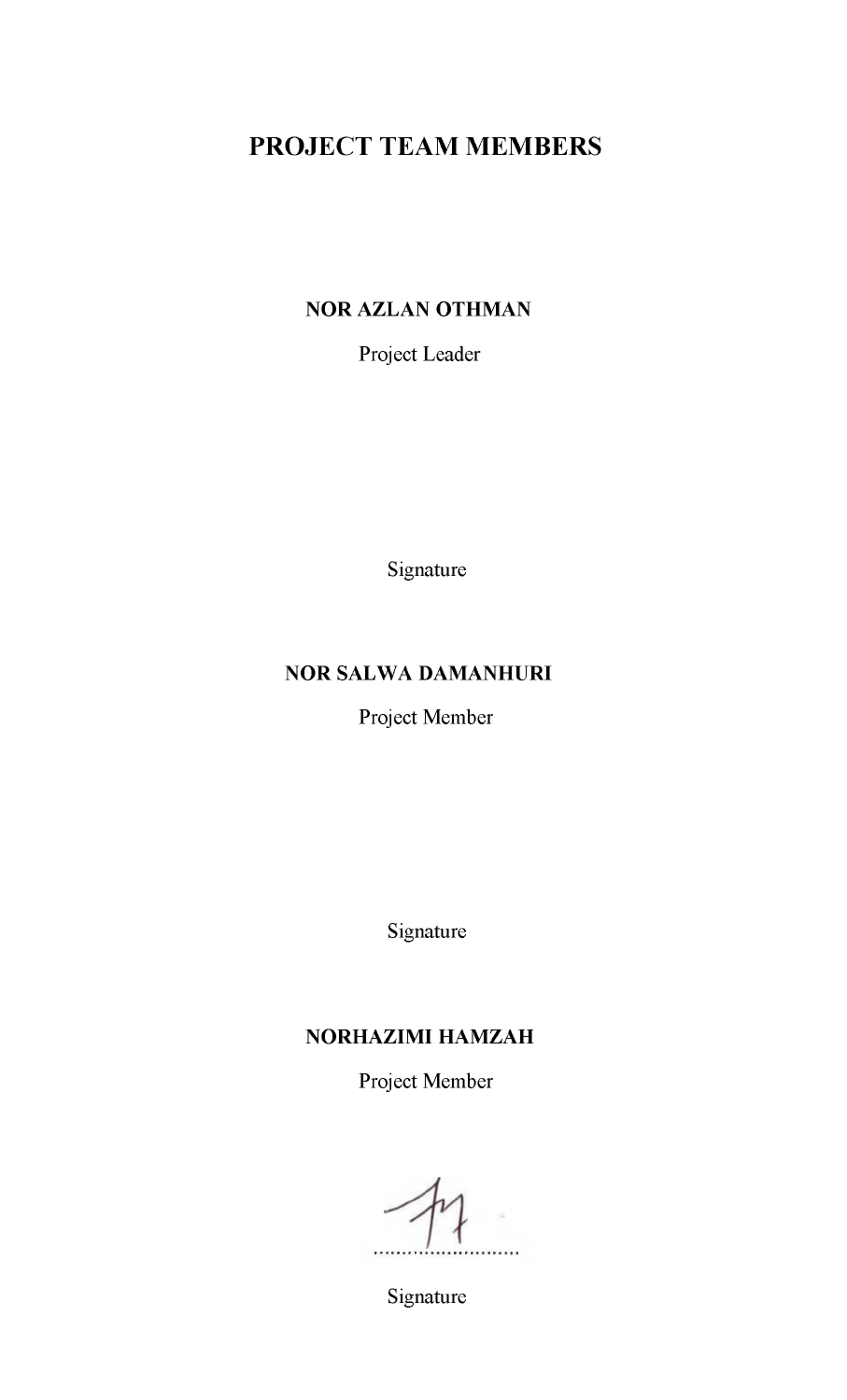## **PROJECT TEAM MEMBERS**

#### **NOR AZLAN OTHMAN**

Project Leader

Signature

#### **NOR SALWA DAMANHURI**

Project Member

Signature

#### **NORHAZIMI HAMZAH**

Project Member

....

Signature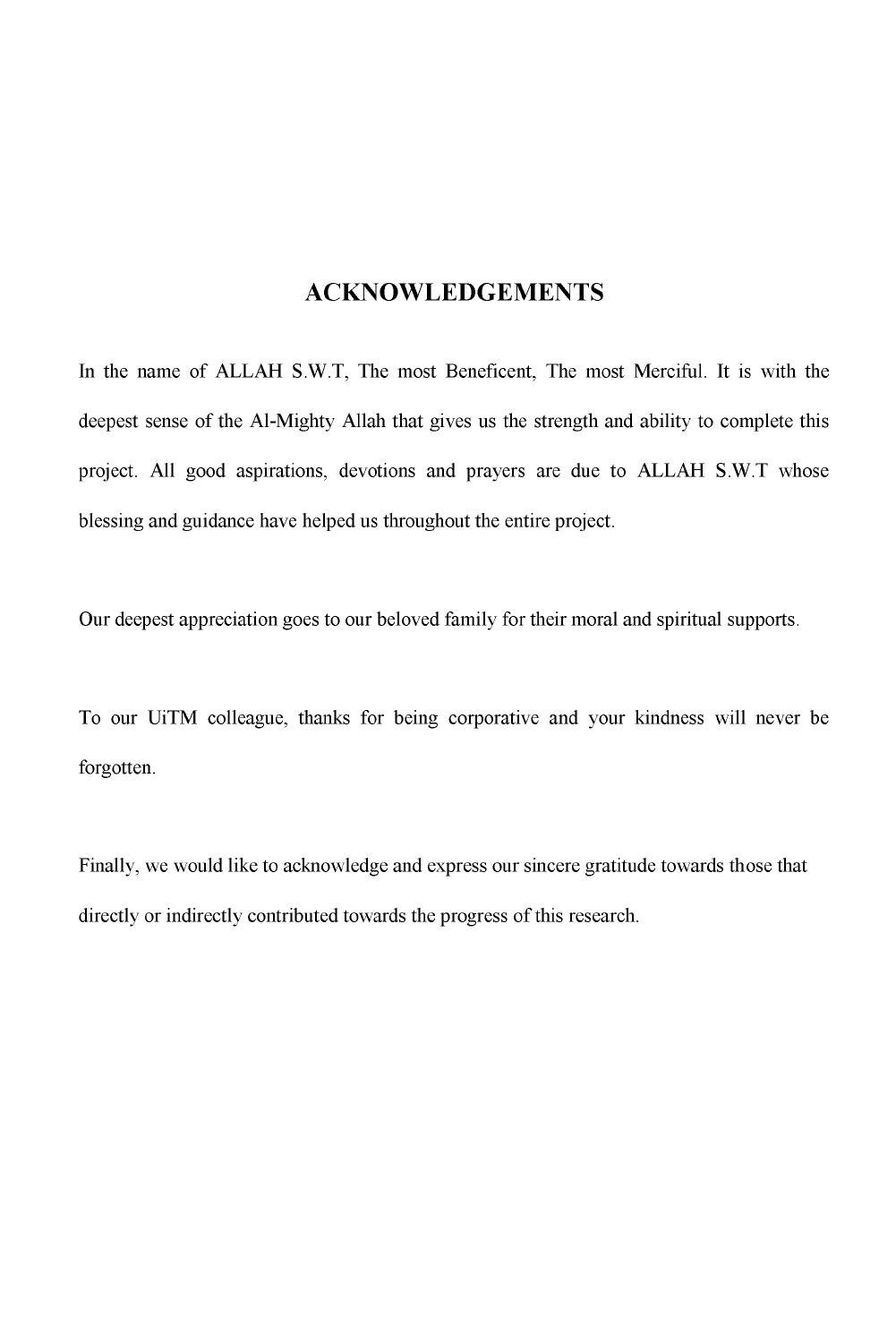#### **ACKNOWLEDGEMENTS**

In the name of ALLAH S.W.T, The most Beneficent, The most Merciful. It is with the deepest sense of the Al-Mighty Allah that gives us the strength and ability to complete this project. All good aspirations, devotions and prayers are due to ALLAH S.W.T whose blessing and guidance have helped us throughout the entire project.

Our deepest appreciation goes to our beloved family for their moral and spiritual supports.

To our UiTM colleague, thanks for being corporative and your kindness will never be forgotten.

Finally, we would like to acknowledge and express our sincere gratitude towards those that directly or indirectly contributed towards the progress of this research.